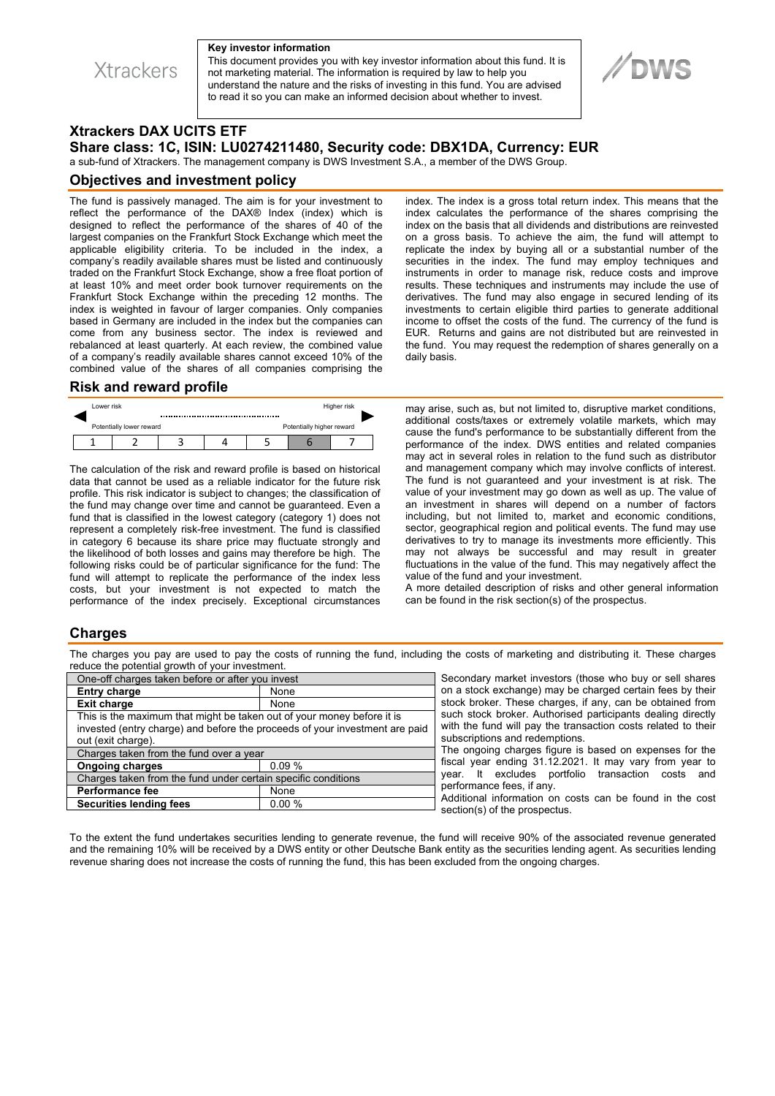**Xtrackers** 

#### **Key investor information**

This document provides you with key investor information about this fund. It is not marketing material. The information is required by law to help you understand the nature and the risks of investing in this fund. You are advised to read it so you can make an informed decision about whether to invest.



# **Xtrackers DAX UCITS ETF**

## **Share class: 1C, ISIN: LU0274211480, Security code: DBX1DA, Currency: EUR**

a sub-fund of Xtrackers. The management company is DWS Investment S.A., a member of the DWS Group.

### **Objectives and investment policy**

The fund is passively managed. The aim is for your investment to reflect the performance of the DAX® Index (index) which is designed to reflect the performance of the shares of 40 of the largest companies on the Frankfurt Stock Exchange which meet the applicable eligibility criteria. To be included in the index, a company's readily available shares must be listed and continuously traded on the Frankfurt Stock Exchange, show a free float portion of at least 10% and meet order book turnover requirements on the Frankfurt Stock Exchange within the preceding 12 months. The index is weighted in favour of larger companies. Only companies based in Germany are included in the index but the companies can come from any business sector. The index is reviewed and rebalanced at least quarterly. At each review, the combined value of a company's readily available shares cannot exceed 10% of the combined value of the shares of all companies comprising the

#### **Risk and reward profile**

|  | Lower risk               |  |  |                           |  | Higher risk |  |
|--|--------------------------|--|--|---------------------------|--|-------------|--|
|  | Potentially lower reward |  |  | Potentially higher reward |  |             |  |
|  |                          |  |  |                           |  |             |  |

The calculation of the risk and reward profile is based on historical data that cannot be used as a reliable indicator for the future risk profile. This risk indicator is subject to changes; the classification of the fund may change over time and cannot be guaranteed. Even a fund that is classified in the lowest category (category 1) does not represent a completely risk-free investment. The fund is classified in category 6 because its share price may fluctuate strongly and the likelihood of both losses and gains may therefore be high. The following risks could be of particular significance for the fund: The fund will attempt to replicate the performance of the index less costs, but your investment is not expected to match the performance of the index precisely. Exceptional circumstances

index. The index is a gross total return index. This means that the index calculates the performance of the shares comprising the index on the basis that all dividends and distributions are reinvested on a gross basis. To achieve the aim, the fund will attempt to replicate the index by buying all or a substantial number of the securities in the index. The fund may employ techniques and instruments in order to manage risk, reduce costs and improve results. These techniques and instruments may include the use of derivatives. The fund may also engage in secured lending of its investments to certain eligible third parties to generate additional income to offset the costs of the fund. The currency of the fund is EUR. Returns and gains are not distributed but are reinvested in the fund. You may request the redemption of shares generally on a daily basis.

may arise, such as, but not limited to, disruptive market conditions, additional costs/taxes or extremely volatile markets, which may cause the fund's performance to be substantially different from the performance of the index. DWS entities and related companies may act in several roles in relation to the fund such as distributor and management company which may involve conflicts of interest. The fund is not guaranteed and your investment is at risk. The value of your investment may go down as well as up. The value of an investment in shares will depend on a number of factors including, but not limited to, market and economic conditions, sector, geographical region and political events. The fund may use derivatives to try to manage its investments more efficiently. This may not always be successful and may result in greater fluctuations in the value of the fund. This may negatively affect the value of the fund and your investment.

A more detailed description of risks and other general information can be found in the risk section(s) of the prospectus.

### **Charges**

The charges you pay are used to pay the costs of running the fund, including the costs of marketing and distributing it. These charges reduce the potential growth of your investment.

| One-off charges taken before or after you invest                            |       |  |  |  |  |
|-----------------------------------------------------------------------------|-------|--|--|--|--|
| <b>Entry charge</b>                                                         | None  |  |  |  |  |
| <b>Exit charge</b>                                                          | None  |  |  |  |  |
| This is the maximum that might be taken out of your money before it is      |       |  |  |  |  |
| invested (entry charge) and before the proceeds of your investment are paid |       |  |  |  |  |
| out (exit charge).                                                          |       |  |  |  |  |
| Charges taken from the fund over a year                                     |       |  |  |  |  |
| <b>Ongoing charges</b>                                                      | 0.09% |  |  |  |  |
| Charges taken from the fund under certain specific conditions               |       |  |  |  |  |
| <b>Performance fee</b>                                                      | None  |  |  |  |  |
| <b>Securities lending fees</b>                                              | 0.00% |  |  |  |  |
|                                                                             |       |  |  |  |  |

Secondary market investors (those who buy or sell shares on a stock exchange) may be charged certain fees by their stock broker. These charges, if any, can be obtained from such stock broker. Authorised participants dealing directly with the fund will pay the transaction costs related to their subscriptions and redemptions.

The ongoing charges figure is based on expenses for the fiscal year ending 31.12.2021. It may vary from year to year. It excludes portfolio transaction costs and performance fees, if any.

Additional information on costs can be found in the cost section(s) of the prospectus.

To the extent the fund undertakes securities lending to generate revenue, the fund will receive 90% of the associated revenue generated and the remaining 10% will be received by a DWS entity or other Deutsche Bank entity as the securities lending agent. As securities lending revenue sharing does not increase the costs of running the fund, this has been excluded from the ongoing charges.